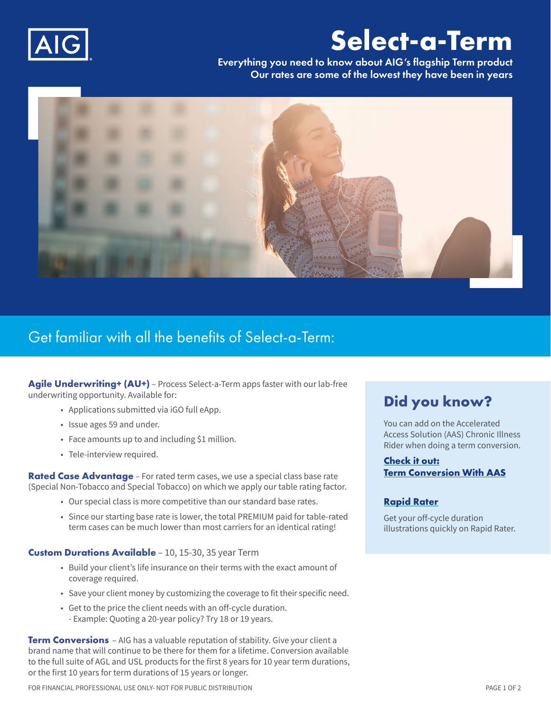

# **Select-a-Term**

Everything you need to know about AIG's flagship Term product Our rates are some of the lowest they have been in years



## Get familiar with all the benefits of Select-a-Term:

**Agile Underwriting+ (AU+)** – Process Select-a-Term apps faster with our lab-free underwriting opportunity. Available for:

- Applications submitted via iGO full eApp.
- Issue ages 59 and under.
- Face amounts up to and including \$1 million.
- Tele-interview required.

**Rated Case Advantage** – For rated term cases, we use a special class base rate (Special Non-Tobacco and Special Tobacco) on which we apply our table rating factor.

- Our special class is more competitive than our standard base rates.
- Since our starting base rate is lower, the total PREMIUM paid for table-rated term cases can be much lower than most carriers for an identical rating!

#### **Custom Durations Available** – 10, 15-30, 35 year Term

- Build your client's life insurance on their terms with the exact amount of coverage required.
- Save your client money by customizing the coverage to fit their specific need.
- Get to the price the client needs with an off-cycle duration. - Example: Quoting a 20-year policy? Try 18 or 19 years.

**Term Conversions** - AIG has a valuable reputation of stability. Give your client a brand name that will continue to be there for them for a lifetime. Conversion available to the full suite of AGL and USL products for the first 8 years for 10 year term durations, or the first 10 years for term durations of 15 years or longer.

## **Did you know?**

You can add on the Accelerated Access Solution (AAS) Chronic Illness Rider when doing a term conversion.

#### **[Check it out:](https://adminplus.fgsfulfillment.com/View/AIGAG/1/AGLC200672) [Term Conversion With AAS](https://adminplus.fgsfulfillment.com/View/AIGAG/1/AGLC200672)**

#### **[Rapid Rater](https://econnections.aglife.com/MVC/RapidRater)**

Get your off-cycle duration illustrations quickly on Rapid Rater.